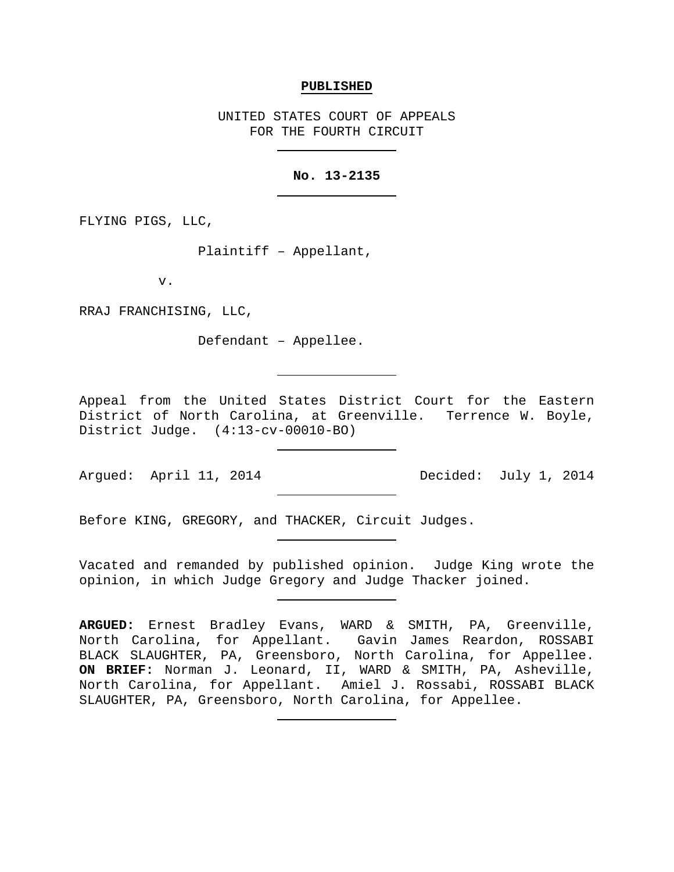#### **PUBLISHED**

UNITED STATES COURT OF APPEALS FOR THE FOURTH CIRCUIT

## **No. 13-2135**

FLYING PIGS, LLC,

Plaintiff – Appellant,

v.

RRAJ FRANCHISING, LLC,

Defendant – Appellee.

Appeal from the United States District Court for the Eastern District of North Carolina, at Greenville. Terrence W. Boyle, District Judge. (4:13-cv-00010-BO)

Argued: April 11, 2014 Decided: July 1, 2014

Before KING, GREGORY, and THACKER, Circuit Judges.

Vacated and remanded by published opinion. Judge King wrote the opinion, in which Judge Gregory and Judge Thacker joined.

**ARGUED:** Ernest Bradley Evans, WARD & SMITH, PA, Greenville, North Carolina, for Appellant. Gavin James Reardon, ROSSABI BLACK SLAUGHTER, PA, Greensboro, North Carolina, for Appellee. **ON BRIEF:** Norman J. Leonard, II, WARD & SMITH, PA, Asheville, North Carolina, for Appellant. Amiel J. Rossabi, ROSSABI BLACK SLAUGHTER, PA, Greensboro, North Carolina, for Appellee.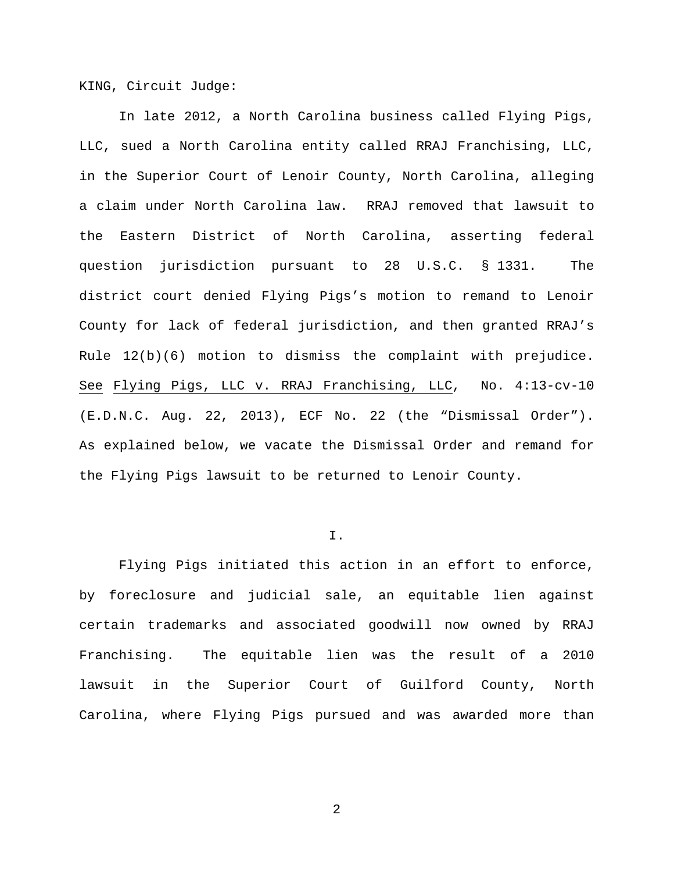KING, Circuit Judge:

In late 2012, a North Carolina business called Flying Pigs, LLC, sued a North Carolina entity called RRAJ Franchising, LLC, in the Superior Court of Lenoir County, North Carolina, alleging a claim under North Carolina law. RRAJ removed that lawsuit to the Eastern District of North Carolina, asserting federal question jurisdiction pursuant to 28 U.S.C. § 1331. The district court denied Flying Pigs's motion to remand to Lenoir County for lack of federal jurisdiction, and then granted RRAJ's Rule 12(b)(6) motion to dismiss the complaint with prejudice. See Flying Pigs, LLC v. RRAJ Franchising, LLC, No. 4:13-cv-10 (E.D.N.C. Aug. 22, 2013), ECF No. 22 (the "Dismissal Order"). As explained below, we vacate the Dismissal Order and remand for the Flying Pigs lawsuit to be returned to Lenoir County.

### I.

Flying Pigs initiated this action in an effort to enforce, by foreclosure and judicial sale, an equitable lien against certain trademarks and associated goodwill now owned by RRAJ Franchising. The equitable lien was the result of a 2010 lawsuit in the Superior Court of Guilford County, North Carolina, where Flying Pigs pursued and was awarded more than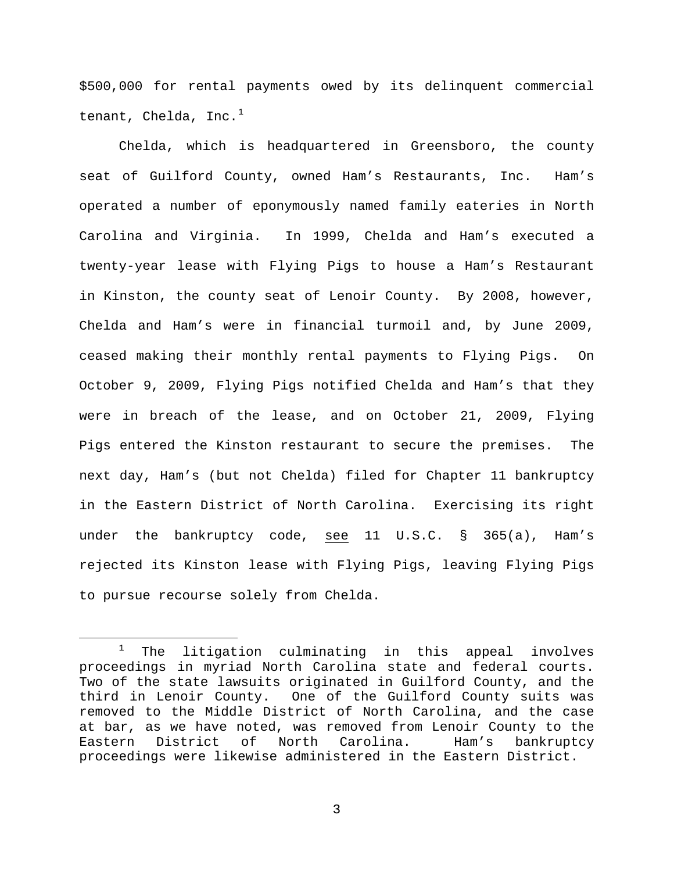\$500,000 for rental payments owed by its delinquent commercial tenant, Chelda, Inc. $^1$  $^1$ 

Chelda, which is headquartered in Greensboro, the county seat of Guilford County, owned Ham's Restaurants, Inc. Ham's operated a number of eponymously named family eateries in North Carolina and Virginia. In 1999, Chelda and Ham's executed a twenty-year lease with Flying Pigs to house a Ham's Restaurant in Kinston, the county seat of Lenoir County. By 2008, however, Chelda and Ham's were in financial turmoil and, by June 2009, ceased making their monthly rental payments to Flying Pigs. On October 9, 2009, Flying Pigs notified Chelda and Ham's that they were in breach of the lease, and on October 21, 2009, Flying Pigs entered the Kinston restaurant to secure the premises. The next day, Ham's (but not Chelda) filed for Chapter 11 bankruptcy in the Eastern District of North Carolina. Exercising its right under the bankruptcy code, see 11 U.S.C. § 365(a), Ham's rejected its Kinston lease with Flying Pigs, leaving Flying Pigs to pursue recourse solely from Chelda.

<span id="page-2-0"></span> $1$  The litigation culminating in this appeal involves proceedings in myriad North Carolina state and federal courts. Two of the state lawsuits originated in Guilford County, and the third in Lenoir County. One of the Guilford County suits was removed to the Middle District of North Carolina, and the case at bar, as we have noted, was removed from Lenoir County to the Eastern District of North Carolina. Ham's bankruptcy proceedings were likewise administered in the Eastern District.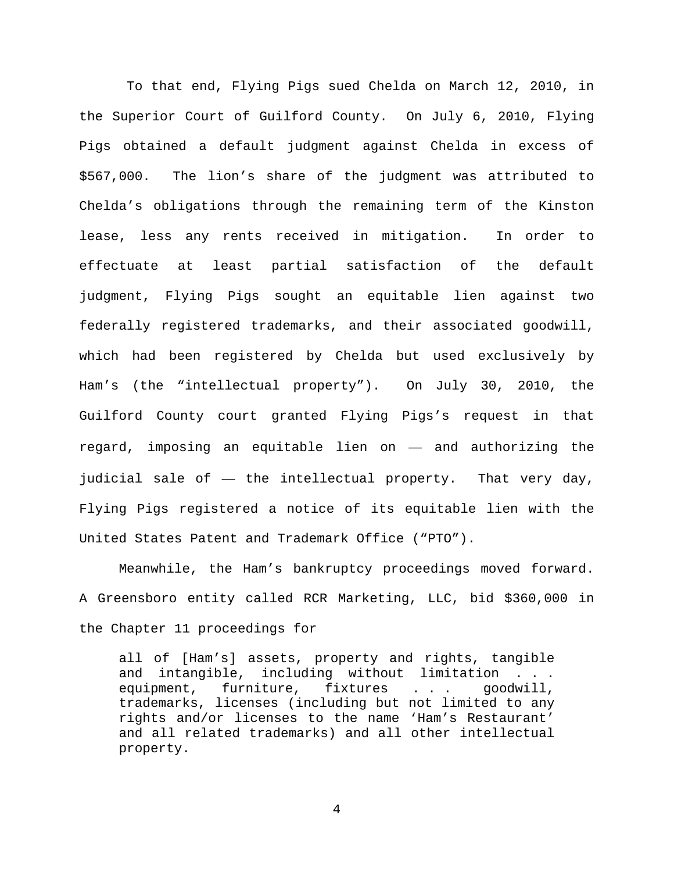To that end, Flying Pigs sued Chelda on March 12, 2010, in the Superior Court of Guilford County. On July 6, 2010, Flying Pigs obtained a default judgment against Chelda in excess of \$567,000. The lion's share of the judgment was attributed to Chelda's obligations through the remaining term of the Kinston lease, less any rents received in mitigation. In order to effectuate at least partial satisfaction of the default judgment, Flying Pigs sought an equitable lien against two federally registered trademarks, and their associated goodwill, which had been registered by Chelda but used exclusively by Ham's (the "intellectual property"). On July 30, 2010, the Guilford County court granted Flying Pigs's request in that regard, imposing an equitable lien on — and authorizing the judicial sale of — the intellectual property. That very day, Flying Pigs registered a notice of its equitable lien with the United States Patent and Trademark Office ("PTO").

Meanwhile, the Ham's bankruptcy proceedings moved forward. A Greensboro entity called RCR Marketing, LLC, bid \$360,000 in the Chapter 11 proceedings for

all of [Ham's] assets, property and rights, tangible and intangible, including without limitation . . . equipment, furniture, fixtures . . . goodwill, trademarks, licenses (including but not limited to any rights and/or licenses to the name 'Ham's Restaurant' and all related trademarks) and all other intellectual property.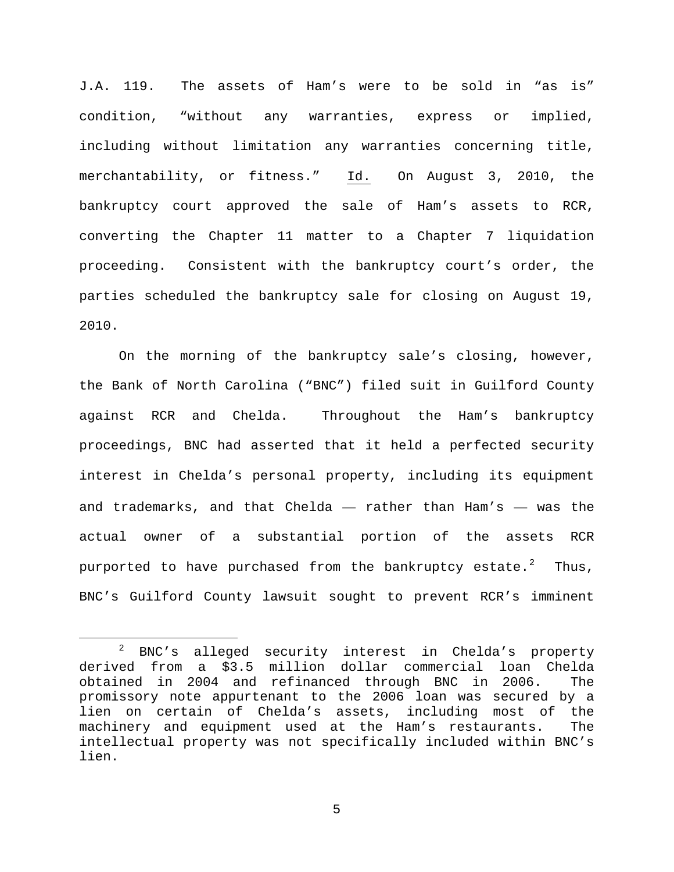J.A. 119. The assets of Ham's were to be sold in "as is" condition, "without any warranties, express or implied, including without limitation any warranties concerning title, merchantability, or fitness." Id. On August 3, 2010, the bankruptcy court approved the sale of Ham's assets to RCR, converting the Chapter 11 matter to a Chapter 7 liquidation proceeding. Consistent with the bankruptcy court's order, the parties scheduled the bankruptcy sale for closing on August 19, 2010.

On the morning of the bankruptcy sale's closing, however, the Bank of North Carolina ("BNC") filed suit in Guilford County against RCR and Chelda. Throughout the Ham's bankruptcy proceedings, BNC had asserted that it held a perfected security interest in Chelda's personal property, including its equipment and trademarks, and that Chelda — rather than Ham's — was the actual owner of a substantial portion of the assets RCR purported to have purchased from the bankruptcy estate. $2$  Thus, BNC's Guilford County lawsuit sought to prevent RCR's imminent

<span id="page-4-0"></span> <sup>2</sup> BNC's alleged security interest in Chelda's property derived from a \$3.5 million dollar commercial loan Chelda obtained in 2004 and refinanced through BNC in 2006. The promissory note appurtenant to the 2006 loan was secured by a lien on certain of Chelda's assets, including most of the machinery and equipment used at the Ham's restaurants. The intellectual property was not specifically included within BNC's lien.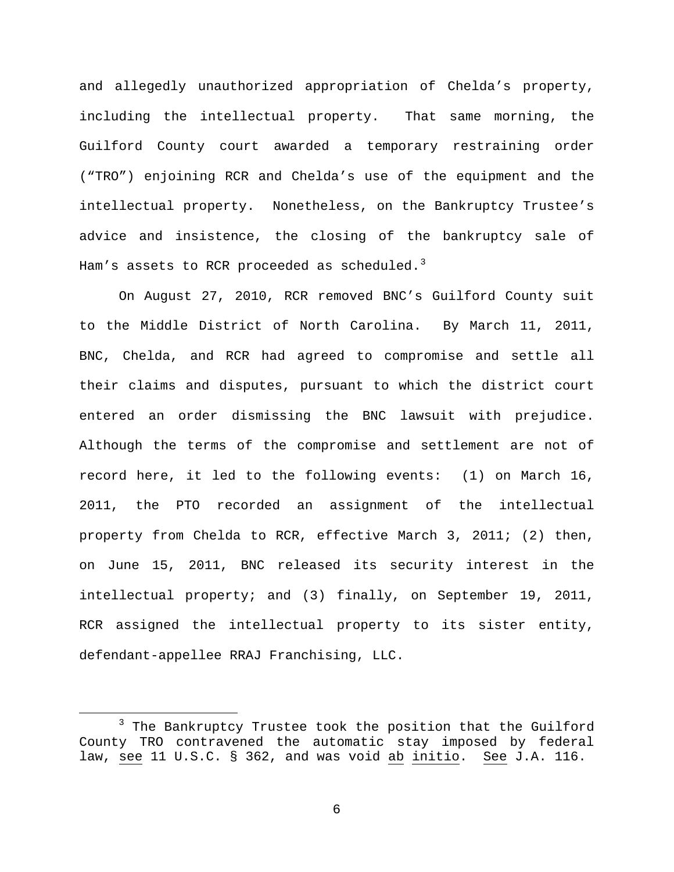and allegedly unauthorized appropriation of Chelda's property, including the intellectual property. That same morning, the Guilford County court awarded a temporary restraining order ("TRO") enjoining RCR and Chelda's use of the equipment and the intellectual property. Nonetheless, on the Bankruptcy Trustee's advice and insistence, the closing of the bankruptcy sale of Ham's assets to RCR proceeded as scheduled. $3$ 

On August 27, 2010, RCR removed BNC's Guilford County suit to the Middle District of North Carolina. By March 11, 2011, BNC, Chelda, and RCR had agreed to compromise and settle all their claims and disputes, pursuant to which the district court entered an order dismissing the BNC lawsuit with prejudice. Although the terms of the compromise and settlement are not of record here, it led to the following events: (1) on March 16, 2011, the PTO recorded an assignment of the intellectual property from Chelda to RCR, effective March 3, 2011; (2) then, on June 15, 2011, BNC released its security interest in the intellectual property; and (3) finally, on September 19, 2011, RCR assigned the intellectual property to its sister entity, defendant-appellee RRAJ Franchising, LLC.

<span id="page-5-0"></span><sup>&</sup>lt;sup>3</sup> The Bankruptcy Trustee took the position that the Guilford County TRO contravened the automatic stay imposed by federal law, see 11 U.S.C. § 362, and was void ab initio. See J.A. 116.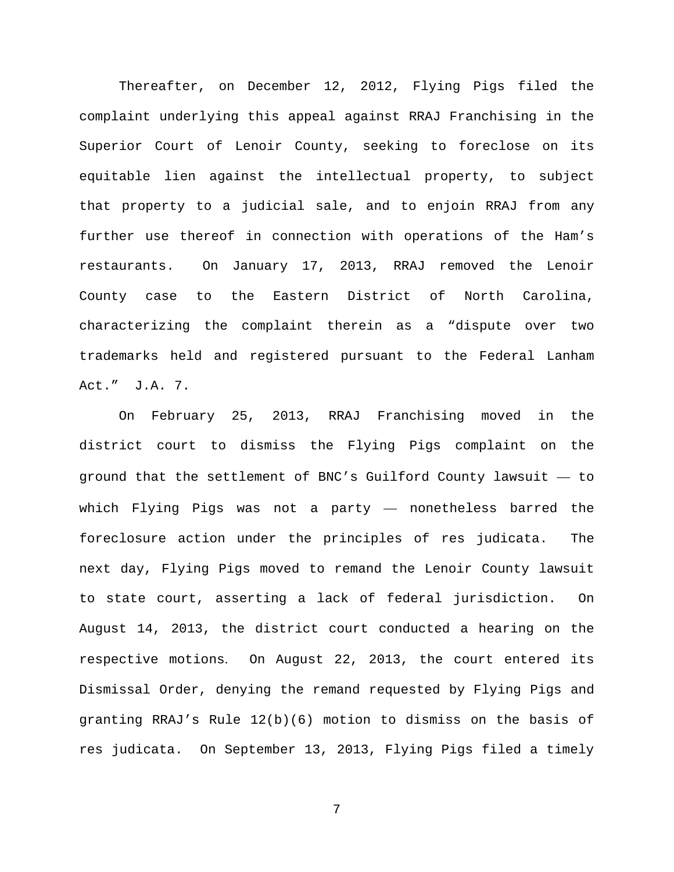Thereafter, on December 12, 2012, Flying Pigs filed the complaint underlying this appeal against RRAJ Franchising in the Superior Court of Lenoir County, seeking to foreclose on its equitable lien against the intellectual property, to subject that property to a judicial sale, and to enjoin RRAJ from any further use thereof in connection with operations of the Ham's restaurants. On January 17, 2013, RRAJ removed the Lenoir County case to the Eastern District of North Carolina, characterizing the complaint therein as a "dispute over two trademarks held and registered pursuant to the Federal Lanham Act." J.A. 7.

On February 25, 2013, RRAJ Franchising moved in the district court to dismiss the Flying Pigs complaint on the ground that the settlement of BNC's Guilford County lawsuit — to which Flying Pigs was not a party — nonetheless barred the foreclosure action under the principles of res judicata. The next day, Flying Pigs moved to remand the Lenoir County lawsuit to state court, asserting a lack of federal jurisdiction. On August 14, 2013, the district court conducted a hearing on the respective motions. On August 22, 2013, the court entered its Dismissal Order, denying the remand requested by Flying Pigs and granting RRAJ's Rule 12(b)(6) motion to dismiss on the basis of res judicata. On September 13, 2013, Flying Pigs filed a timely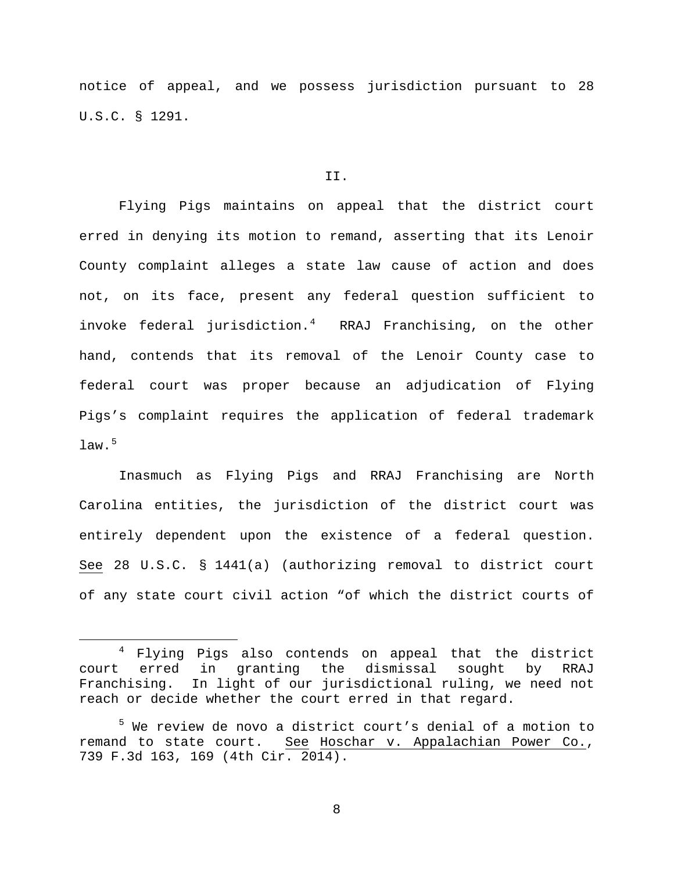notice of appeal, and we possess jurisdiction pursuant to 28 U.S.C. § 1291.

#### II.

Flying Pigs maintains on appeal that the district court erred in denying its motion to remand, asserting that its Lenoir County complaint alleges a state law cause of action and does not, on its face, present any federal question sufficient to invoke federal jurisdiction.[4](#page-7-0) RRAJ Franchising, on the other hand, contends that its removal of the Lenoir County case to federal court was proper because an adjudication of Flying Pigs's complaint requires the application of federal trademark law. $^5$  $^5$ 

Inasmuch as Flying Pigs and RRAJ Franchising are North Carolina entities, the jurisdiction of the district court was entirely dependent upon the existence of a federal question. See 28 U.S.C. § 1441(a) (authorizing removal to district court of any state court civil action "of which the district courts of

<span id="page-7-0"></span><sup>&</sup>lt;sup>4</sup> Flying Pigs also contends on appeal that the district court erred in granting the dismissal sought by RRAJ Franchising. In light of our jurisdictional ruling, we need not reach or decide whether the court erred in that regard.

<span id="page-7-1"></span><sup>5</sup> We review de novo a district court's denial of a motion to remand to state court. See Hoschar v. Appalachian Power Co., 739 F.3d 163, 169 (4th Cir. 2014).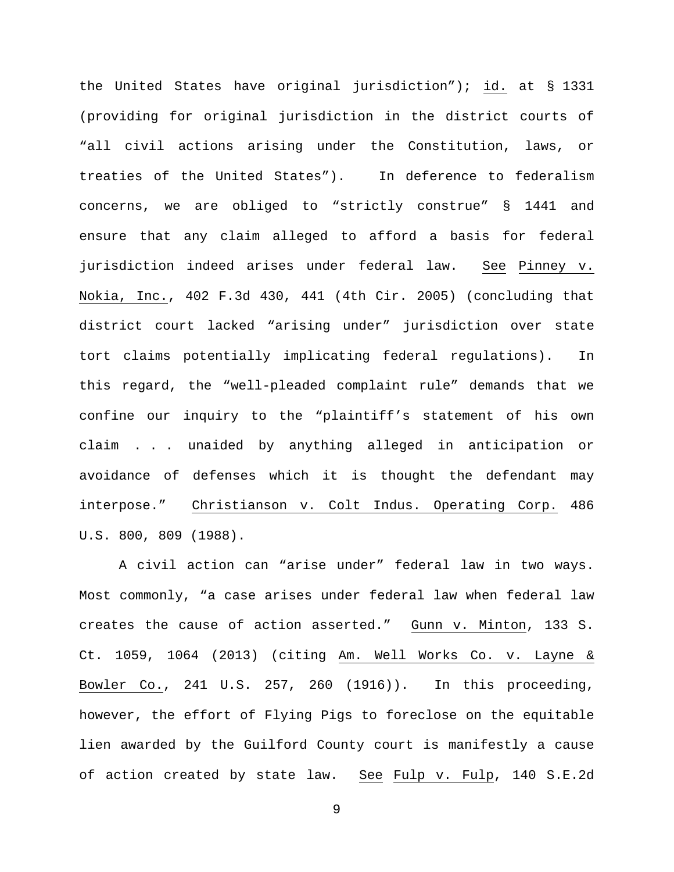the United States have original jurisdiction"); id. at § 1331 (providing for original jurisdiction in the district courts of "all civil actions arising under the Constitution, laws, or treaties of the United States"). In deference to federalism concerns, we are obliged to "strictly construe" § 1441 and ensure that any claim alleged to afford a basis for federal jurisdiction indeed arises under federal law. See Pinney v. Nokia, Inc., 402 F.3d 430, 441 (4th Cir. 2005) (concluding that district court lacked "arising under" jurisdiction over state tort claims potentially implicating federal regulations). In this regard, the "well-pleaded complaint rule" demands that we confine our inquiry to the "plaintiff's statement of his own claim . . . unaided by anything alleged in anticipation or avoidance of defenses which it is thought the defendant may interpose." Christianson v. Colt Indus. Operating Corp. 486 U.S. 800, 809 (1988).

A civil action can "arise under" federal law in two ways. Most commonly, "a case arises under federal law when federal law creates the cause of action asserted." Gunn v. Minton, 133 S. Ct. 1059, 1064 (2013) (citing Am. Well Works Co. v. Layne & Bowler Co., 241 U.S. 257, 260 (1916)). In this proceeding, however, the effort of Flying Pigs to foreclose on the equitable lien awarded by the Guilford County court is manifestly a cause of action created by state law. See Fulp v. Fulp, 140 S.E.2d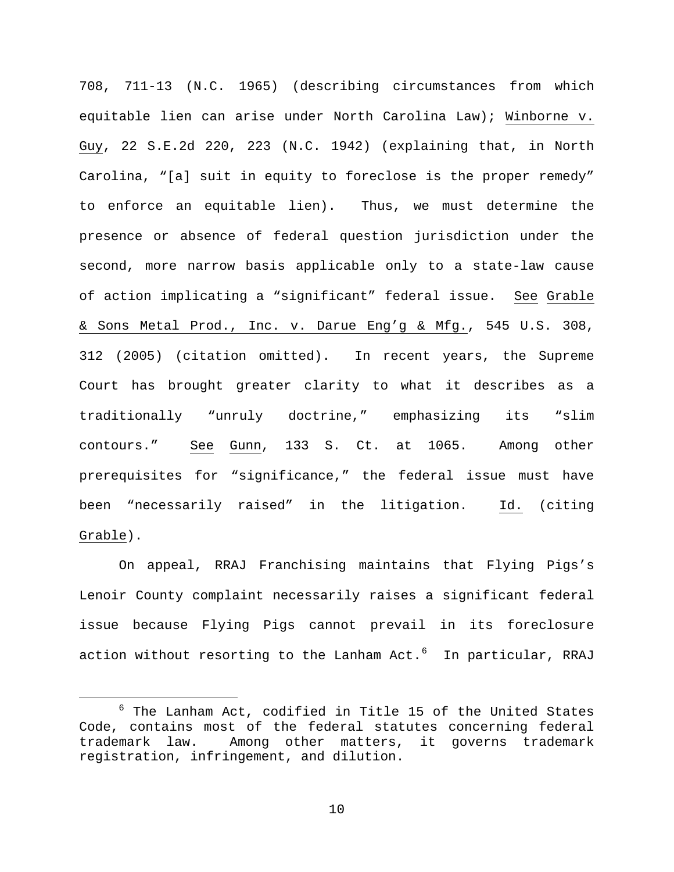708, 711-13 (N.C. 1965) (describing circumstances from which equitable lien can arise under North Carolina Law); Winborne v. Guy, 22 S.E.2d 220, 223 (N.C. 1942) (explaining that, in North Carolina, "[a] suit in equity to foreclose is the proper remedy" to enforce an equitable lien). Thus, we must determine the presence or absence of federal question jurisdiction under the second, more narrow basis applicable only to a state-law cause of action implicating a "significant" federal issue. See Grable & Sons Metal Prod., Inc. v. Darue Eng'g & Mfg., 545 U.S. 308, 312 (2005) (citation omitted). In recent years, the Supreme Court has brought greater clarity to what it describes as a traditionally "unruly doctrine," emphasizing its "slim contours." See Gunn, 133 S. Ct. at 1065. Among other prerequisites for "significance," the federal issue must have been "necessarily raised" in the litigation. Id. (citing Grable).

On appeal, RRAJ Franchising maintains that Flying Pigs's Lenoir County complaint necessarily raises a significant federal issue because Flying Pigs cannot prevail in its foreclosure action without resorting to the Lanham Act. $6$  In particular, RRAJ

<span id="page-9-0"></span> $6$  The Lanham Act, codified in Title 15 of the United States Code, contains most of the federal statutes concerning federal trademark law. Among other matters, it governs trademark registration, infringement, and dilution.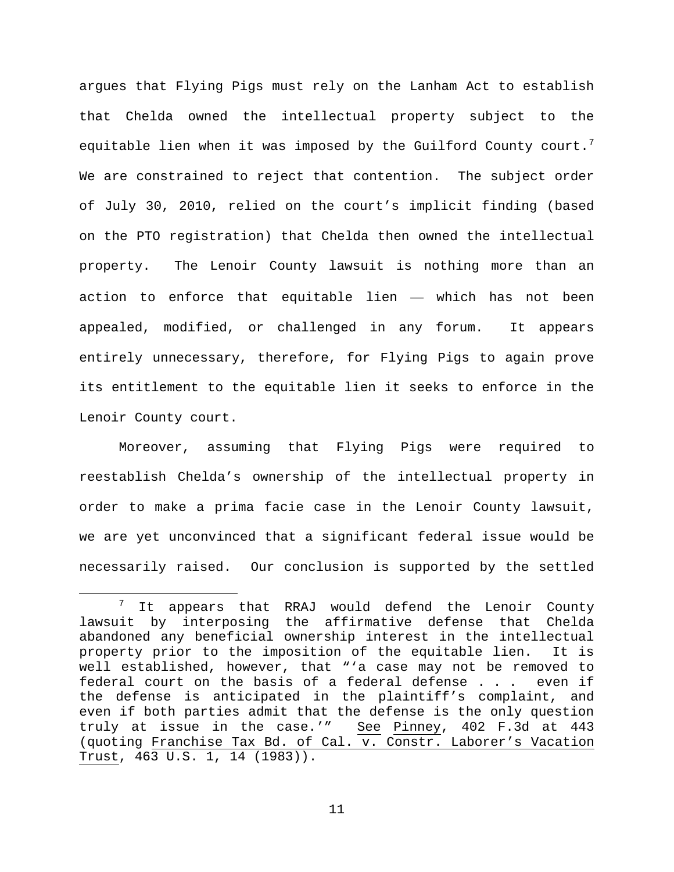argues that Flying Pigs must rely on the Lanham Act to establish that Chelda owned the intellectual property subject to the equitable lien when it was imposed by the Guilford County court. $^7$  $^7$ We are constrained to reject that contention. The subject order of July 30, 2010, relied on the court's implicit finding (based on the PTO registration) that Chelda then owned the intellectual property. The Lenoir County lawsuit is nothing more than an action to enforce that equitable lien — which has not been appealed, modified, or challenged in any forum. It appears entirely unnecessary, therefore, for Flying Pigs to again prove its entitlement to the equitable lien it seeks to enforce in the Lenoir County court.

Moreover, assuming that Flying Pigs were required to reestablish Chelda's ownership of the intellectual property in order to make a prima facie case in the Lenoir County lawsuit, we are yet unconvinced that a significant federal issue would be necessarily raised. Our conclusion is supported by the settled

<span id="page-10-0"></span> $7$  It appears that RRAJ would defend the Lenoir County lawsuit by interposing the affirmative defense that Chelda abandoned any beneficial ownership interest in the intellectual property prior to the imposition of the equitable lien. It is well established, however, that "'a case may not be removed to federal court on the basis of a federal defense . . . even if the defense is anticipated in the plaintiff's complaint, and even if both parties admit that the defense is the only question<br>truly at issue in the case.'" See Pinney, 402 F.3d at 443 truly at issue in the case.'" (quoting Franchise Tax Bd. of Cal. v. Constr. Laborer's Vacation Trust, 463 U.S. 1, 14 (1983)).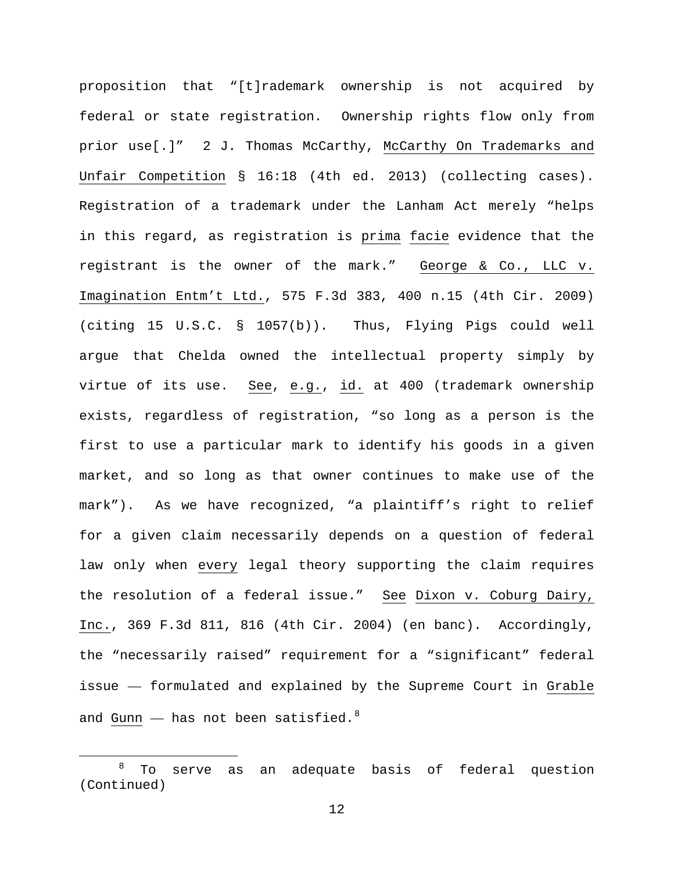proposition that "[t]rademark ownership is not acquired by federal or state registration. Ownership rights flow only from prior use[.]" 2 J. Thomas McCarthy, McCarthy On Trademarks and Unfair Competition § 16:18 (4th ed. 2013) (collecting cases). Registration of a trademark under the Lanham Act merely "helps in this regard, as registration is prima facie evidence that the registrant is the owner of the mark." George & Co., LLC v. Imagination Entm't Ltd., 575 F.3d 383, 400 n.15 (4th Cir. 2009) (citing 15 U.S.C. § 1057(b)). Thus, Flying Pigs could well argue that Chelda owned the intellectual property simply by virtue of its use. See, e.g., id. at 400 (trademark ownership exists, regardless of registration, "so long as a person is the first to use a particular mark to identify his goods in a given market, and so long as that owner continues to make use of the mark"). As we have recognized, "a plaintiff's right to relief for a given claim necessarily depends on a question of federal law only when every legal theory supporting the claim requires the resolution of a federal issue." See Dixon v. Coburg Dairy, Inc., 369 F.3d 811, 816 (4th Cir. 2004) (en banc). Accordingly, the "necessarily raised" requirement for a "significant" federal issue — formulated and explained by the Supreme Court in Grable and Gunn  $-$  has not been satisfied.<sup>[8](#page-11-0)</sup>

<span id="page-11-0"></span><sup>&</sup>lt;sup>8</sup> To serve as an adequate basis of federal question (Continued)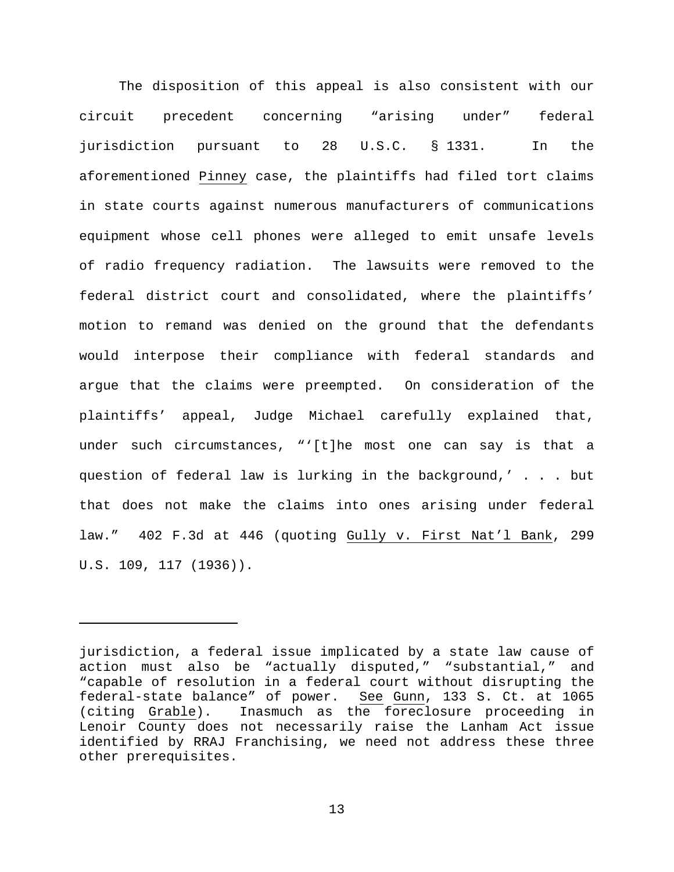The disposition of this appeal is also consistent with our circuit precedent concerning "arising under" federal jurisdiction pursuant to 28 U.S.C. § 1331. In the aforementioned Pinney case, the plaintiffs had filed tort claims in state courts against numerous manufacturers of communications equipment whose cell phones were alleged to emit unsafe levels of radio frequency radiation. The lawsuits were removed to the federal district court and consolidated, where the plaintiffs' motion to remand was denied on the ground that the defendants would interpose their compliance with federal standards and argue that the claims were preempted. On consideration of the plaintiffs' appeal, Judge Michael carefully explained that, under such circumstances, "'[t]he most one can say is that a question of federal law is lurking in the background,' . . . but that does not make the claims into ones arising under federal law." 402 F.3d at 446 (quoting Gully v. First Nat'l Bank, 299 U.S. 109, 117 (1936)).

Ĩ.

jurisdiction, a federal issue implicated by a state law cause of action must also be "actually disputed," "substantial," and "capable of resolution in a federal court without disrupting the federal-state balance" of power. See Gunn, 133 S. Ct. at 1065 (citing Grable). Inasmuch as the foreclosure proceeding in Lenoir County does not necessarily raise the Lanham Act issue identified by RRAJ Franchising, we need not address these three other prerequisites.